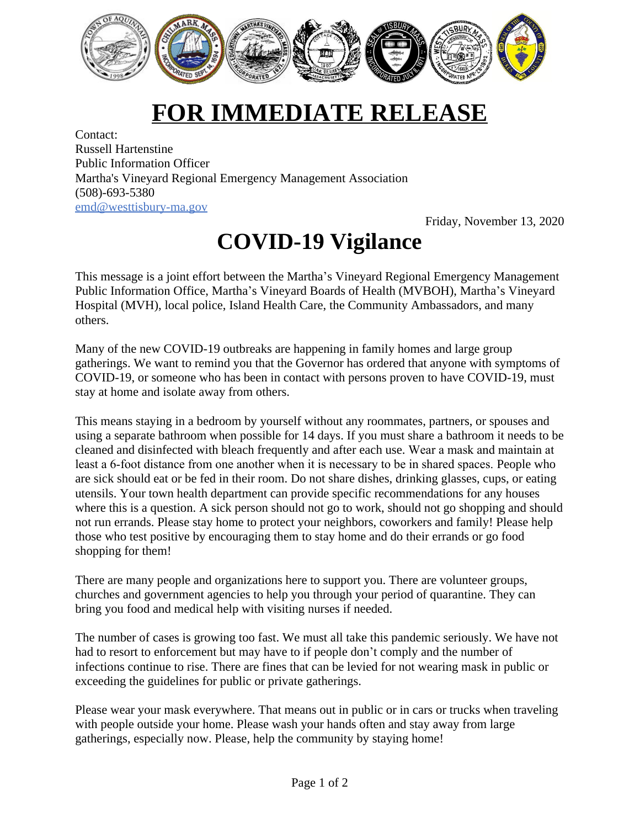

## **FOR IMMEDIATE RELEASE**

Contact: Russell Hartenstine Public Information Officer Martha's Vineyard Regional Emergency Management Association (508)-693-5380 [emd@westtisbury-ma.gov](mailto:emd@westtisbury-ma.gov)

Friday, November 13, 2020

## **COVID-19 Vigilance**

This message is a joint effort between the Martha's Vineyard Regional Emergency Management Public Information Office, Martha's Vineyard Boards of Health (MVBOH), Martha's Vineyard Hospital (MVH), local police, Island Health Care, the Community Ambassadors, and many others.

Many of the new COVID-19 outbreaks are happening in family homes and large group gatherings. We want to remind you that the Governor has ordered that anyone with symptoms of COVID-19, or someone who has been in contact with persons proven to have COVID-19, must stay at home and isolate away from others.

This means staying in a bedroom by yourself without any roommates, partners, or spouses and using a separate bathroom when possible for 14 days. If you must share a bathroom it needs to be cleaned and disinfected with bleach frequently and after each use. Wear a mask and maintain at least a 6-foot distance from one another when it is necessary to be in shared spaces. People who are sick should eat or be fed in their room. Do not share dishes, drinking glasses, cups, or eating utensils. Your town health department can provide specific recommendations for any houses where this is a question. A sick person should not go to work, should not go shopping and should not run errands. Please stay home to protect your neighbors, coworkers and family! Please help those who test positive by encouraging them to stay home and do their errands or go food shopping for them!

There are many people and organizations here to support you. There are volunteer groups, churches and government agencies to help you through your period of quarantine. They can bring you food and medical help with visiting nurses if needed.

The number of cases is growing too fast. We must all take this pandemic seriously. We have not had to resort to enforcement but may have to if people don't comply and the number of infections continue to rise. There are fines that can be levied for not wearing mask in public or exceeding the guidelines for public or private gatherings.

Please wear your mask everywhere. That means out in public or in cars or trucks when traveling with people outside your home. Please wash your hands often and stay away from large gatherings, especially now. Please, help the community by staying home!